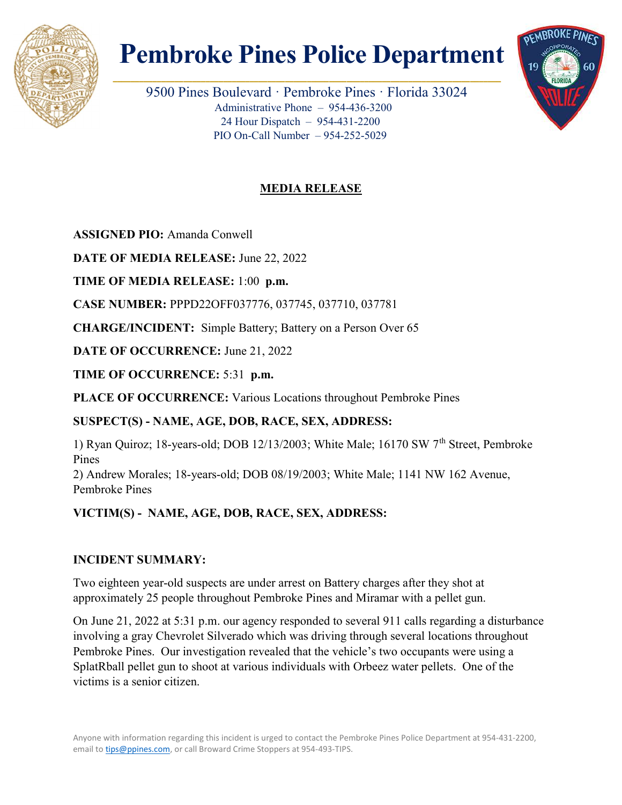

# Pembroke Pines Police Department

9500 Pines Boulevard · Pembroke Pines · Florida 33024 Administrative Phone – 954-436-3200 24 Hour Dispatch – 954-431-2200 PIO On-Call Number – 954-252-5029

 $\_$  , and the set of the set of the set of the set of the set of the set of the set of the set of the set of the set of the set of the set of the set of the set of the set of the set of the set of the set of the set of th



### MEDIA RELEASE

ASSIGNED PIO: Amanda Conwell

DATE OF MEDIA RELEASE: June 22, 2022

TIME OF MEDIA RELEASE: 1:00 p.m.

CASE NUMBER: PPPD22OFF037776, 037745, 037710, 037781

CHARGE/INCIDENT: Simple Battery; Battery on a Person Over 65

DATE OF OCCURRENCE: June 21, 2022

TIME OF OCCURRENCE: 5:31 p.m.

PLACE OF OCCURRENCE: Various Locations throughout Pembroke Pines

#### SUSPECT(S) - NAME, AGE, DOB, RACE, SEX, ADDRESS:

1) Ryan Quiroz; 18-years-old; DOB 12/13/2003; White Male; 16170 SW  $7<sup>th</sup>$  Street, Pembroke Pines

2) Andrew Morales; 18-years-old; DOB 08/19/2003; White Male; 1141 NW 162 Avenue, Pembroke Pines

## VICTIM(S) - NAME, AGE, DOB, RACE, SEX, ADDRESS:

#### INCIDENT SUMMARY:

Two eighteen year-old suspects are under arrest on Battery charges after they shot at approximately 25 people throughout Pembroke Pines and Miramar with a pellet gun.

On June 21, 2022 at 5:31 p.m. our agency responded to several 911 calls regarding a disturbance involving a gray Chevrolet Silverado which was driving through several locations throughout Pembroke Pines. Our investigation revealed that the vehicle's two occupants were using a SplatRball pellet gun to shoot at various individuals with Orbeez water pellets. One of the victims is a senior citizen.